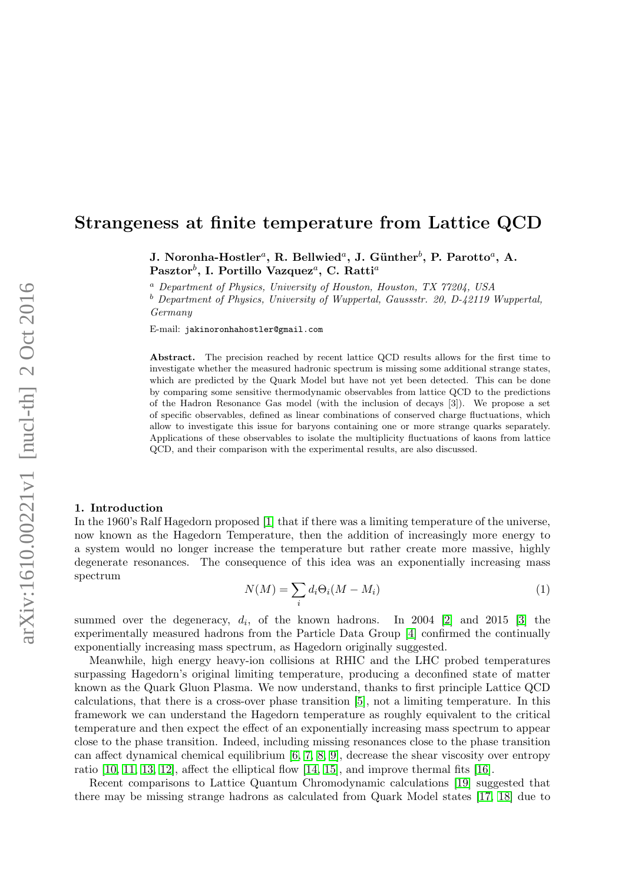## Strangeness at finite temperature from Lattice QCD

J. Noronha-Hostler<sup>a</sup>, R. Bellwied<sup>a</sup>, J. Günther $^b$ , P. Parotto<sup>a</sup>, A.  $\mathrm{Pasztor}^b, \, \mathrm{I}.$  Portillo Vazquez $^a, \, \mathrm{C}.$  Ratti $^a$ 

<sup>a</sup> Department of Physics, University of Houston, Houston, TX 77204, USA  $b$  Department of Physics, University of Wuppertal, Gaussstr. 20, D-42119 Wuppertal,

Germany

E-mail: jakinoronhahostler@gmail.com

Abstract. The precision reached by recent lattice QCD results allows for the first time to investigate whether the measured hadronic spectrum is missing some additional strange states, which are predicted by the Quark Model but have not yet been detected. This can be done by comparing some sensitive thermodynamic observables from lattice QCD to the predictions of the Hadron Resonance Gas model (with the inclusion of decays [3]). We propose a set of specific observables, defined as linear combinations of conserved charge fluctuations, which allow to investigate this issue for baryons containing one or more strange quarks separately. Applications of these observables to isolate the multiplicity fluctuations of kaons from lattice QCD, and their comparison with the experimental results, are also discussed.

## 1. Introduction

In the 1960's Ralf Hagedorn proposed [\[1\]](#page-3-0) that if there was a limiting temperature of the universe, now known as the Hagedorn Temperature, then the addition of increasingly more energy to a system would no longer increase the temperature but rather create more massive, highly degenerate resonances. The consequence of this idea was an exponentially increasing mass spectrum

<span id="page-0-0"></span>
$$
N(M) = \sum_{i} d_i \Theta_i (M - M_i)
$$
\n(1)

summed over the degeneracy,  $d_i$ , of the known hadrons. In 2004 [\[2\]](#page-3-1) and 2015 [\[3\]](#page-3-2) the experimentally measured hadrons from the Particle Data Group [\[4\]](#page-3-3) confirmed the continually exponentially increasing mass spectrum, as Hagedorn originally suggested.

Meanwhile, high energy heavy-ion collisions at RHIC and the LHC probed temperatures surpassing Hagedorn's original limiting temperature, producing a deconfined state of matter known as the Quark Gluon Plasma. We now understand, thanks to first principle Lattice QCD calculations, that there is a cross-over phase transition [\[5\]](#page-3-4), not a limiting temperature. In this framework we can understand the Hagedorn temperature as roughly equivalent to the critical temperature and then expect the effect of an exponentially increasing mass spectrum to appear close to the phase transition. Indeed, including missing resonances close to the phase transition can affect dynamical chemical equilibrium [\[6,](#page-3-5) [7,](#page-3-6) [8,](#page-3-7) [9\]](#page-3-8), decrease the shear viscosity over entropy ratio  $[10, 11, 13, 12]$  $[10, 11, 13, 12]$  $[10, 11, 13, 12]$  $[10, 11, 13, 12]$ , affect the elliptical flow  $[14, 15]$  $[14, 15]$ , and improve thermal fits  $[16]$ .

Recent comparisons to Lattice Quantum Chromodynamic calculations [\[19\]](#page-3-16) suggested that there may be missing strange hadrons as calculated from Quark Model states [\[17,](#page-3-17) [18\]](#page-3-18) due to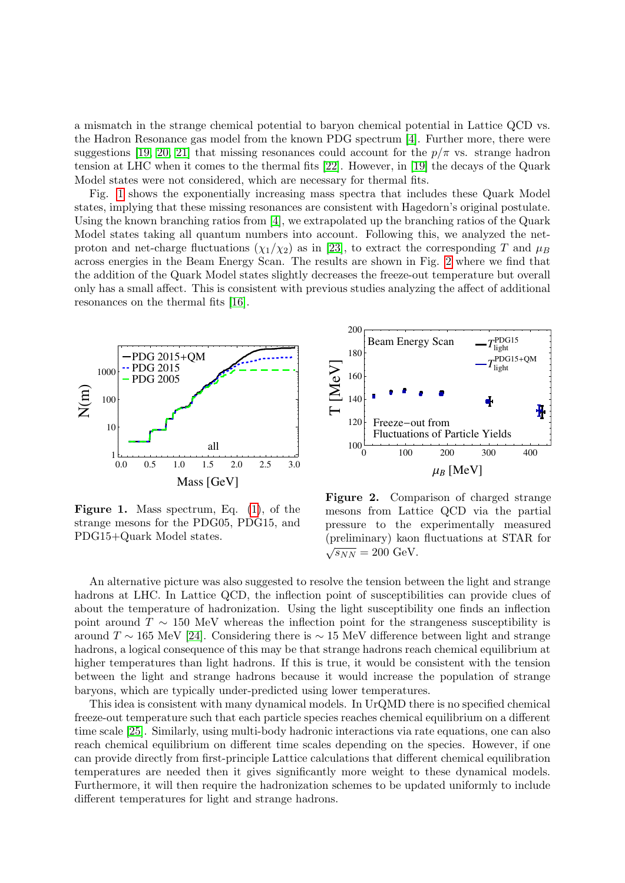a mismatch in the strange chemical potential to baryon chemical potential in Lattice QCD vs. the Hadron Resonance gas model from the known PDG spectrum [\[4\]](#page-3-3). Further more, there were suggestions [\[19,](#page-3-16) [20,](#page-3-19) [21\]](#page-3-20) that missing resonances could account for the  $p/\pi$  vs. strange hadron tension at LHC when it comes to the thermal fits [\[22\]](#page-3-21). However, in [\[19\]](#page-3-16) the decays of the Quark Model states were not considered, which are necessary for thermal fits.

Fig. [1](#page-1-0) shows the exponentially increasing mass spectra that includes these Quark Model states, implying that these missing resonances are consistent with Hagedorn's original postulate. Using the known branching ratios from [\[4\]](#page-3-3), we extrapolated up the branching ratios of the Quark Model states taking all quantum numbers into account. Following this, we analyzed the netproton and net-charge fluctuations  $(\chi_1/\chi_2)$  as in [\[23\]](#page-3-22), to extract the corresponding T and  $\mu_B$ across energies in the Beam Energy Scan. The results are shown in Fig. [2](#page-1-1) where we find that the addition of the Quark Model states slightly decreases the freeze-out temperature but overall only has a small affect. This is consistent with previous studies analyzing the affect of additional resonances on the thermal fits [\[16\]](#page-3-15).



<span id="page-1-0"></span>Figure 1. Mass spectrum, Eq. [\(1\)](#page-0-0), of the strange mesons for the PDG05, PDG15, and PDG15+Quark Model states.



<span id="page-1-1"></span>Figure 2. Comparison of charged strange mesons from Lattice QCD via the partial pressure to the experimentally measured (preliminary) kaon fluctuations at STAR for √  $\sqrt{s_{NN}} = 200 \text{ GeV}.$ 

An alternative picture was also suggested to resolve the tension between the light and strange hadrons at LHC. In Lattice QCD, the inflection point of susceptibilities can provide clues of about the temperature of hadronization. Using the light susceptibility one finds an inflection point around  $T \sim 150$  MeV whereas the inflection point for the strangeness susceptibility is around  $T \sim 165$  MeV [\[24\]](#page-3-23). Considering there is  $\sim 15$  MeV difference between light and strange hadrons, a logical consequence of this may be that strange hadrons reach chemical equilibrium at higher temperatures than light hadrons. If this is true, it would be consistent with the tension between the light and strange hadrons because it would increase the population of strange baryons, which are typically under-predicted using lower temperatures.

This idea is consistent with many dynamical models. In UrQMD there is no specified chemical freeze-out temperature such that each particle species reaches chemical equilibrium on a different time scale [\[25\]](#page-3-24). Similarly, using multi-body hadronic interactions via rate equations, one can also reach chemical equilibrium on different time scales depending on the species. However, if one can provide directly from first-principle Lattice calculations that different chemical equilibration temperatures are needed then it gives significantly more weight to these dynamical models. Furthermore, it will then require the hadronization schemes to be updated uniformly to include different temperatures for light and strange hadrons.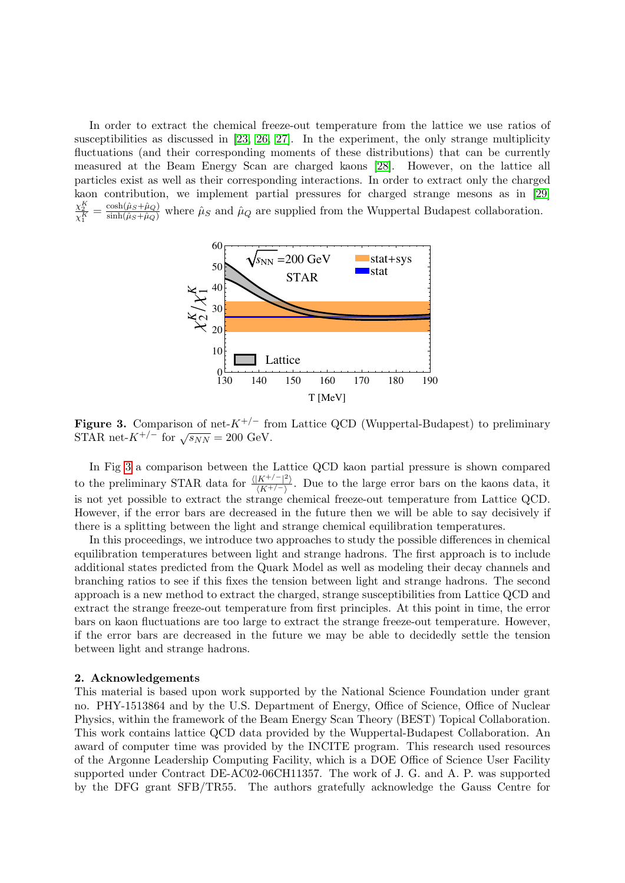In order to extract the chemical freeze-out temperature from the lattice we use ratios of susceptibilities as discussed in [\[23,](#page-3-22) [26,](#page-3-25) [27\]](#page-3-26). In the experiment, the only strange multiplicity fluctuations (and their corresponding moments of these distributions) that can be currently measured at the Beam Energy Scan are charged kaons [\[28\]](#page-3-27). However, on the lattice all particles exist as well as their corresponding interactions. In order to extract only the charged kaon contribution, we implement partial pressures for charged strange mesons as in [\[29\]](#page-3-28)  $\frac{\chi_2^K}{\chi_1^K} = \frac{\cosh(\hat{\mu}_S + \hat{\mu}_Q)}{\sinh(\hat{\mu}_S + \hat{\mu}_Q)}$  where  $\hat{\mu}_S$  and  $\hat{\mu}_Q$  are supplied from the Wuppertal Budapest collaboration.



<span id="page-2-0"></span>**Figure 3.** Comparison of net- $K^{+/-}$  from Lattice QCD (Wuppertal-Budapest) to preliminary STAR net- $K^{+/-}$  for  $\sqrt{s_{NN}} = 200$  GeV.

In Fig [3](#page-2-0) a comparison between the Lattice QCD kaon partial pressure is shown compared to the preliminary STAR data for  $\frac{\langle |K^{+/-}|^2 \rangle}{\langle K^{+/-} \rangle}$  $\frac{K^{1/2} - 1}{(K^{+/-})}$ . Due to the large error bars on the kaons data, it is not yet possible to extract the strange chemical freeze-out temperature from Lattice QCD. However, if the error bars are decreased in the future then we will be able to say decisively if there is a splitting between the light and strange chemical equilibration temperatures.

In this proceedings, we introduce two approaches to study the possible differences in chemical equilibration temperatures between light and strange hadrons. The first approach is to include additional states predicted from the Quark Model as well as modeling their decay channels and branching ratios to see if this fixes the tension between light and strange hadrons. The second approach is a new method to extract the charged, strange susceptibilities from Lattice QCD and extract the strange freeze-out temperature from first principles. At this point in time, the error bars on kaon fluctuations are too large to extract the strange freeze-out temperature. However, if the error bars are decreased in the future we may be able to decidedly settle the tension between light and strange hadrons.

## 2. Acknowledgements

This material is based upon work supported by the National Science Foundation under grant no. PHY-1513864 and by the U.S. Department of Energy, Office of Science, Office of Nuclear Physics, within the framework of the Beam Energy Scan Theory (BEST) Topical Collaboration. This work contains lattice QCD data provided by the Wuppertal-Budapest Collaboration. An award of computer time was provided by the INCITE program. This research used resources of the Argonne Leadership Computing Facility, which is a DOE Office of Science User Facility supported under Contract DE-AC02-06CH11357. The work of J. G. and A. P. was supported by the DFG grant SFB/TR55. The authors gratefully acknowledge the Gauss Centre for